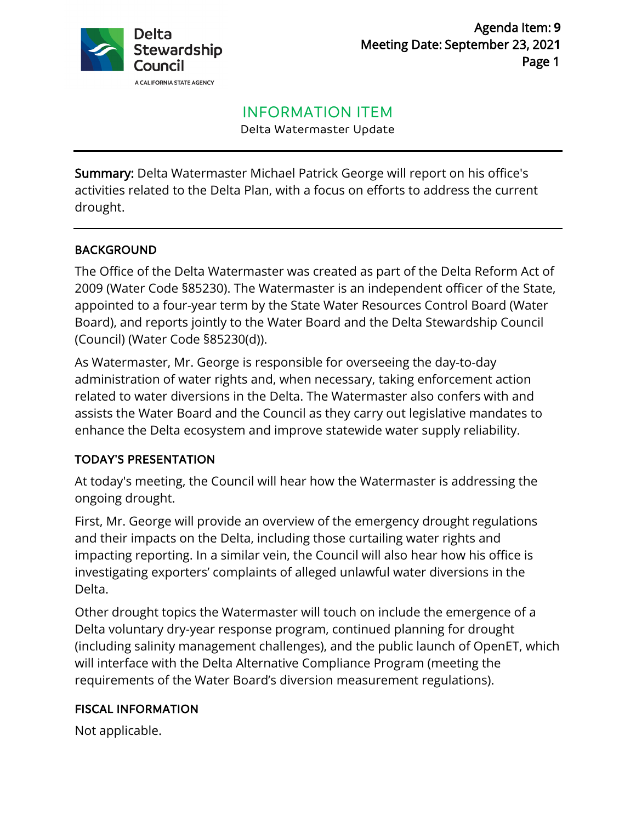

# INFORMATION ITEM

Delta Watermaster Update

Summary: Delta Watermaster Michael Patrick George will report on his office's activities related to the Delta Plan, with a focus on efforts to address the current drought.

## BACKGROUND

The Office of the Delta Watermaster was created as part of the Delta Reform Act of 2009 (Water Code §85230). The Watermaster is an independent officer of the State, appointed to a four-year term by the State Water Resources Control Board (Water Board), and reports jointly to the Water Board and the Delta Stewardship Council (Council) (Water Code §85230(d)).

As Watermaster, Mr. George is responsible for overseeing the day-to-day administration of water rights and, when necessary, taking enforcement action related to water diversions in the Delta. The Watermaster also confers with and assists the Water Board and the Council as they carry out legislative mandates to enhance the Delta ecosystem and improve statewide water supply reliability.

#### TODAY'S PRESENTATION

At today's meeting, the Council will hear how the Watermaster is addressing the ongoing drought.

First, Mr. George will provide an overview of the emergency drought regulations and their impacts on the Delta, including those curtailing water rights and impacting reporting. In a similar vein, the Council will also hear how his office is investigating exporters' complaints of alleged unlawful water diversions in the Delta.

Other drought topics the Watermaster will touch on include the emergence of a Delta voluntary dry-year response program, continued planning for drought (including salinity management challenges), and the public launch of OpenET, which will interface with the Delta Alternative Compliance Program (meeting the requirements of the Water Board's diversion measurement regulations).

#### FISCAL INFORMATION

Not applicable.